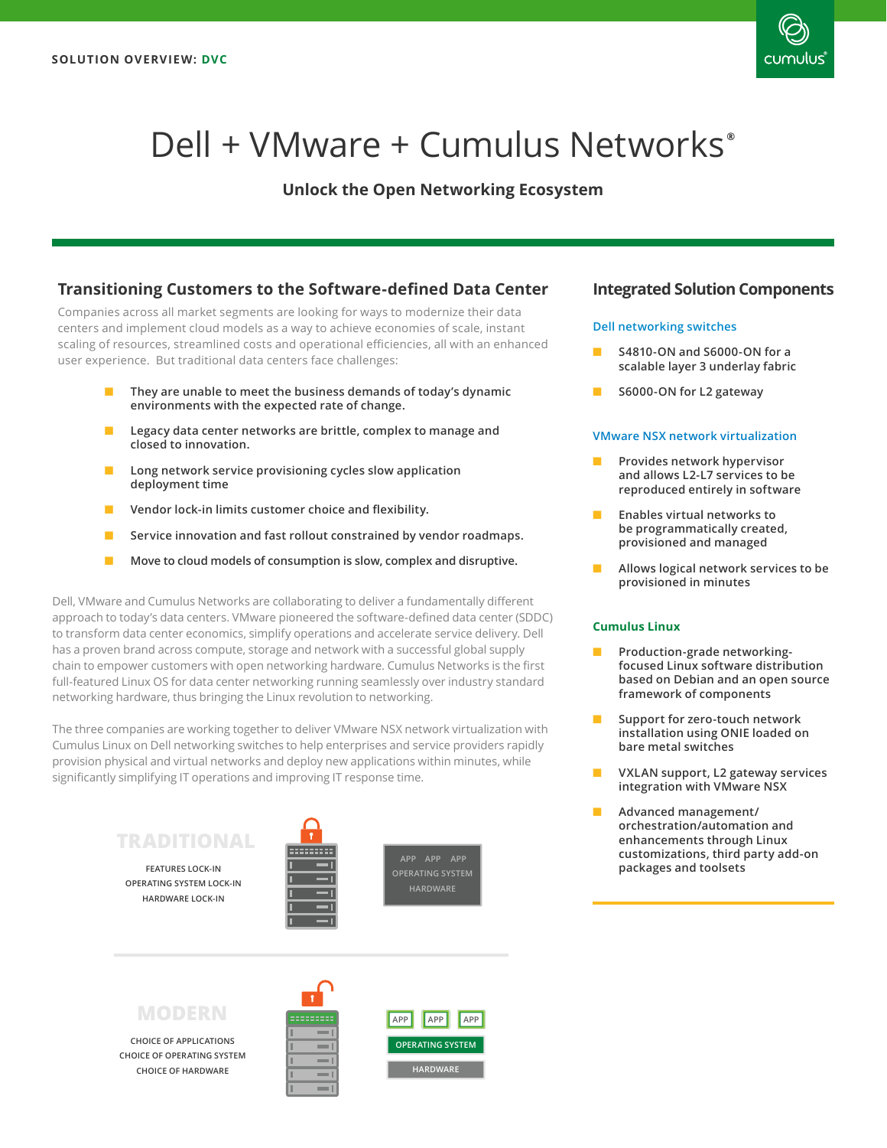

# Dell + VMware + Cumulus Networks**®**

# **Unlock the Open Networking Ecosystem**

## **Transitioning Customers to the Software-defined Data Center**

Companies across all market segments are looking for ways to modernize their data centers and implement cloud models as a way to achieve economies of scale, instant scaling of resources, streamlined costs and operational efficiencies, all with an enhanced user experience. But traditional data centers face challenges:

- They are unable to meet the business demands of today's dynamic **environments with the expected rate of change.**
- **Legacy data center networks are brittle, complex to manage and closed to innovation.**
- Long network service provisioning cycles slow application **deployment time**
- **Vendor lock-in limits customer choice and flexibility.**
- Service innovation and fast rollout constrained by vendor roadmaps.
- Move to cloud models of consumption is slow, complex and disruptive.

Dell, VMware and Cumulus Networks are collaborating to deliver a fundamentally different approach to today's data centers. VMware pioneered the software-defined data center (SDDC) to transform data center economics, simplify operations and accelerate service delivery. Dell has a proven brand across compute, storage and network with a successful global supply chain to empower customers with open networking hardware. Cumulus Networks is the first full-featured Linux OS for data center networking running seamlessly over industry standard networking hardware, thus bringing the Linux revolution to networking.

The three companies are working together to deliver VMware NSX network virtualization with Cumulus Linux on Dell networking switches to help enterprises and service providers rapidly provision physical and virtual networks and deploy new applications within minutes, while significantly simplifying IT operations and improving IT response time.

# **TRADITIONAL**

**HARDWARE LOCK-IN FEATURES LOCK-IN OPERATING SYSTEM LOCK-IN HARDWARE** 



**OPERATING SYSTEM**

# **MODERN**

**CHOICE OF HARDWARE CHOICE OF APPLICATIONS CHOICE OF OPERATING SYSTEM**





## **Integrated Solution Components**

#### **Dell networking switches**

- **S4810-ON and S6000-ON for a scalable layer 3 underlay fabric**
- **S6000-ON for L2 gateway**

#### **VMware NSX network virtualization**

- **Provides network hypervisor and allows L2-L7 services to be reproduced entirely in software**
- **Enables virtual networks to be programmatically created, provisioned and managed**
- **Allows logical network services to be provisioned in minutes**

#### **Cumulus Linux**

- **Production-grade networkingfocused Linux software distribution based on Debian and an open source framework of components**
- **Support for zero-touch network installation using ONIE loaded on bare metal switches**
- **VXLAN support, L2 gateway services integration with VMware NSX**
- **Advanced management/ orchestration/automation and enhancements through Linux customizations, third party add-on packages and toolsets**